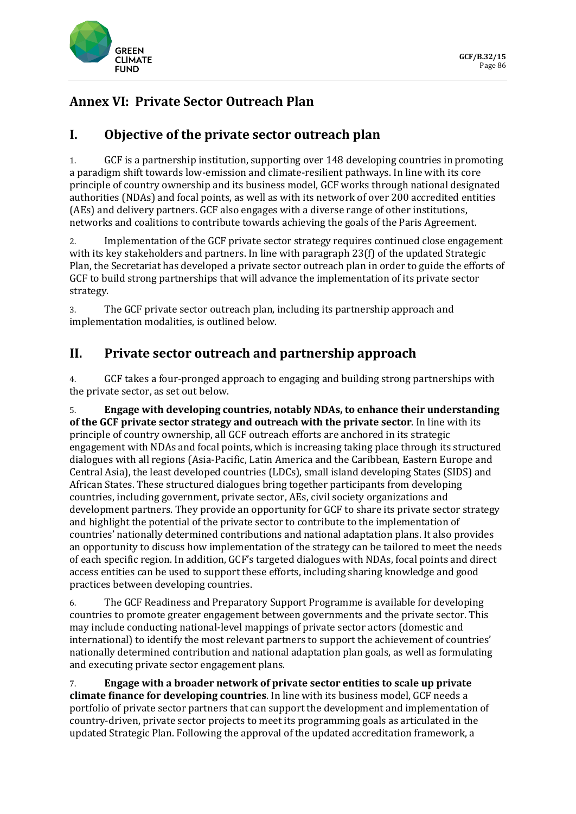

## **Annex VI: Private Sector Outreach Plan**

## **I. Objective of the private sector outreach plan**

1. GCF is a partnership institution, supporting over 148 developing countries in promoting a paradigm shift towards low-emission and climate-resilient pathways. In line with its core principle of country ownership and its business model, GCF works through national designated authorities (NDAs) and focal points, as well as with its network of over 200 accredited entities (AEs) and delivery partners. GCF also engages with a diverse range of other institutions, networks and coalitions to contribute towards achieving the goals of the Paris Agreement.

2. Implementation of the GCF private sector strategy requires continued close engagement with its key stakeholders and partners. In line with paragraph 23(f) of the updated Strategic Plan, the Secretariat has developed a private sector outreach plan in order to guide the efforts of GCF to build strong partnerships that will advance the implementation of its private sector strategy.

3. The GCF private sector outreach plan, including its partnership approach and implementation modalities, is outlined below.

## **II. Private sector outreach and partnership approach**

4. GCF takes a four-pronged approach to engaging and building strong partnerships with the private sector, as set out below.

5. **Engage with developing countries, notably NDAs, to enhance their understanding of the GCF private sector strategy and outreach with the private sector**. In line with its principle of country ownership, all GCF outreach efforts are anchored in its strategic engagement with NDAs and focal points, which is increasing taking place through its structured dialogues with all regions (Asia-Pacific, Latin America and the Caribbean, Eastern Europe and Central Asia), the least developed countries (LDCs), small island developing States (SIDS) and African States. These structured dialogues bring together participants from developing countries, including government, private sector, AEs, civil society organizations and development partners. They provide an opportunity for GCF to share its private sector strategy and highlight the potential of the private sector to contribute to the implementation of countries' nationally determined contributions and national adaptation plans. It also provides an opportunity to discuss how implementation of the strategy can be tailored to meet the needs of each specific region. In addition, GCF's targeted dialogues with NDAs, focal points and direct access entities can be used to support these efforts, including sharing knowledge and good practices between developing countries.

6. The GCF Readiness and Preparatory Support Programme is available for developing countries to promote greater engagement between governments and the private sector. This may include conducting national-level mappings of private sector actors (domestic and international) to identify the most relevant partners to support the achievement of countries' nationally determined contribution and national adaptation plan goals, as well as formulating and executing private sector engagement plans.

7. **Engage with a broader network of private sector entities to scale up private climate finance for developing countries**. In line with its business model, GCF needs a portfolio of private sector partners that can support the development and implementation of country-driven, private sector projects to meet its programming goals as articulated in the updated Strategic Plan. Following the approval of the updated accreditation framework, a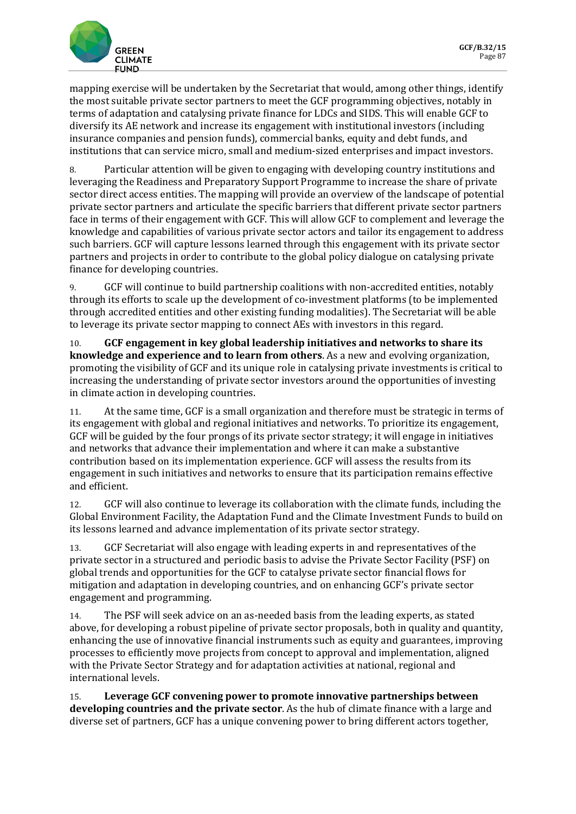

mapping exercise will be undertaken by the Secretariat that would, among other things, identify the most suitable private sector partners to meet the GCF programming objectives, notably in terms of adaptation and catalysing private finance for LDCs and SIDS. This will enable GCF to diversify its AE network and increase its engagement with institutional investors (including insurance companies and pension funds), commercial banks, equity and debt funds, and institutions that can service micro, small and medium-sized enterprises and impact investors.

8. Particular attention will be given to engaging with developing country institutions and leveraging the Readiness and Preparatory Support Programme to increase the share of private sector direct access entities. The mapping will provide an overview of the landscape of potential private sector partners and articulate the specific barriers that different private sector partners face in terms of their engagement with GCF. This will allow GCF to complement and leverage the knowledge and capabilities of various private sector actors and tailor its engagement to address such barriers. GCF will capture lessons learned through this engagement with its private sector partners and projects in order to contribute to the global policy dialogue on catalysing private finance for developing countries.

9. GCF will continue to build partnership coalitions with non-accredited entities, notably through its efforts to scale up the development of co-investment platforms (to be implemented through accredited entities and other existing funding modalities). The Secretariat will be able to leverage its private sector mapping to connect AEs with investors in this regard.

10. **GCF engagement in key global leadership initiatives and networks to share its knowledge and experience and to learn from others**. As a new and evolving organization, promoting the visibility of GCF and its unique role in catalysing private investments is critical to increasing the understanding of private sector investors around the opportunities of investing in climate action in developing countries.

11. At the same time, GCF is a small organization and therefore must be strategic in terms of its engagement with global and regional initiatives and networks. To prioritize its engagement, GCF will be guided by the four prongs of its private sector strategy; it will engage in initiatives and networks that advance their implementation and where it can make a substantive contribution based on its implementation experience. GCF will assess the results from its engagement in such initiatives and networks to ensure that its participation remains effective and efficient.

12. GCF will also continue to leverage its collaboration with the climate funds, including the Global Environment Facility, the Adaptation Fund and the Climate Investment Funds to build on its lessons learned and advance implementation of its private sector strategy.

13. GCF Secretariat will also engage with leading experts in and representatives of the private sector in a structured and periodic basis to advise the Private Sector Facility (PSF) on global trends and opportunities for the GCF to catalyse private sector financial flows for mitigation and adaptation in developing countries, and on enhancing GCF's private sector engagement and programming.

14. The PSF will seek advice on an as-needed basis from the leading experts, as stated above, for developing a robust pipeline of private sector proposals, both in quality and quantity, enhancing the use of innovative financial instruments such as equity and guarantees, improving processes to efficiently move projects from concept to approval and implementation, aligned with the Private Sector Strategy and for adaptation activities at national, regional and international levels.

15. **Leverage GCF convening power to promote innovative partnerships between developing countries and the private sector**. As the hub of climate finance with a large and diverse set of partners, GCF has a unique convening power to bring different actors together,